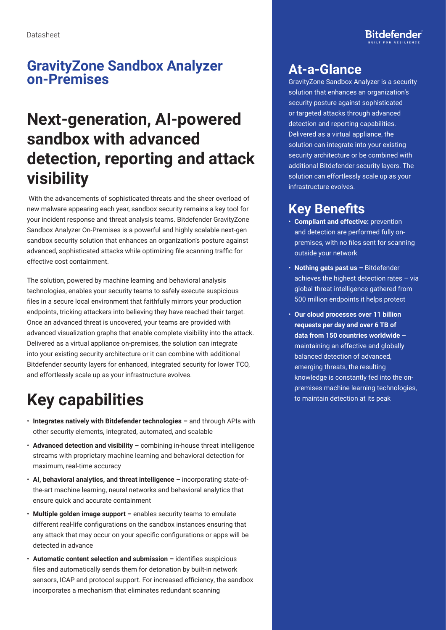#### **GravityZone Sandbox Analyzer on-Premises**

## **Next-generation, AI-powered sandbox with advanced detection, reporting and attack visibility**

 With the advancements of sophisticated threats and the sheer overload of new malware appearing each year, sandbox security remains a key tool for your incident response and threat analysis teams. Bitdefender GravityZone Sandbox Analyzer On-Premises is a powerful and highly scalable next-gen sandbox security solution that enhances an organization's posture against advanced, sophisticated attacks while optimizing file scanning traffic for effective cost containment.

The solution, powered by machine learning and behavioral analysis technologies, enables your security teams to safely execute suspicious files in a secure local environment that faithfully mirrors your production endpoints, tricking attackers into believing they have reached their target. Once an advanced threat is uncovered, your teams are provided with advanced visualization graphs that enable complete visibility into the attack. Delivered as a virtual appliance on-premises, the solution can integrate into your existing security architecture or it can combine with additional Bitdefender security layers for enhanced, integrated security for lower TCO, and effortlessly scale up as your infrastructure evolves.

# **Key capabilities**

- **Integrates natively with Bitdefender technologies –** and through APIs with other security elements, integrated, automated, and scalable
- **Advanced detection and visibility –** combining in-house threat intelligence streams with proprietary machine learning and behavioral detection for maximum, real-time accuracy
- **AI, behavioral analytics, and threat intelligence –** incorporating state-ofthe-art machine learning, neural networks and behavioral analytics that ensure quick and accurate containment
- **Multiple golden image support –** enables security teams to emulate different real-life configurations on the sandbox instances ensuring that any attack that may occur on your specific configurations or apps will be detected in advance
- **Automatic content selection and submission –** identifies suspicious files and automatically sends them for detonation by built-in network sensors, ICAP and protocol support. For increased efficiency, the sandbox incorporates a mechanism that eliminates redundant scanning

### **At-a-Glance**

GravityZone Sandbox Analyzer is a security solution that enhances an organization's security posture against sophisticated or targeted attacks through advanced detection and reporting capabilities. Delivered as a virtual appliance, the solution can integrate into your existing security architecture or be combined with additional Bitdefender security layers. The solution can effortlessly scale up as your infrastructure evolves.

### **Key Benefits**

- **Compliant and effective:** prevention and detection are performed fully onpremises, with no files sent for scanning outside your network
- **Nothing gets past us –** Bitdefender achieves the highest detection rates – via global threat intelligence gathered from 500 million endpoints it helps protect
- **Our cloud processes over 11 billion requests per day and over 6 TB of data from 150 countries worldwide –** maintaining an effective and globally balanced detection of advanced, emerging threats, the resulting knowledge is constantly fed into the onpremises machine learning technologies, to maintain detection at its peak